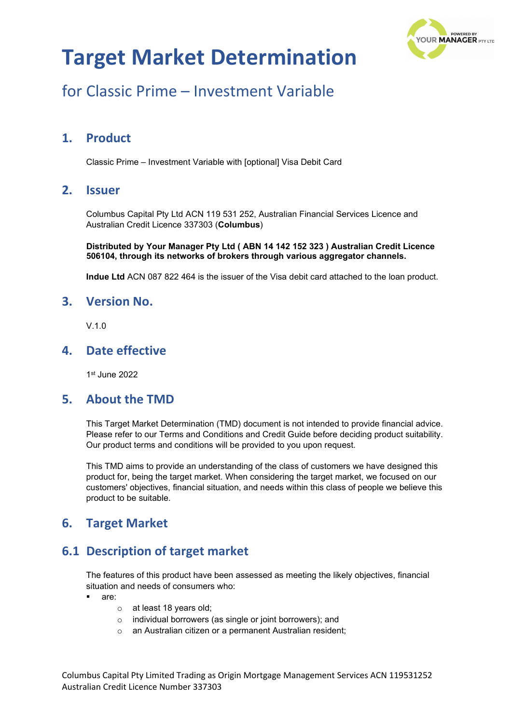

## for Classic Prime – Investment Variable

### **1. Product**

Classic Prime – Investment Variable with [optional] Visa Debit Card

### **2. Issuer**

Columbus Capital Pty Ltd ACN 119 531 252, Australian Financial Services Licence and Australian Credit Licence 337303 (**Columbus**)

**Distributed by Your Manager Pty Ltd ( ABN 14 142 152 323 ) Australian Credit Licence 506104, through its networks of brokers through various aggregator channels.**

**Indue Ltd** ACN 087 822 464 is the issuer of the Visa debit card attached to the loan product.

#### **3. Version No.**

 $V<sub>10</sub>$ 

### **4. Date effective**

1st June 2022

#### **5. About the TMD**

This Target Market Determination (TMD) document is not intended to provide financial advice. Please refer to our Terms and Conditions and Credit Guide before deciding product suitability. Our product terms and conditions will be provided to you upon request.

This TMD aims to provide an understanding of the class of customers we have designed this product for, being the target market. When considering the target market, we focused on our customers' objectives, financial situation, and needs within this class of people we believe this product to be suitable.

### **6. Target Market**

### **6.1 Description of target market**

The features of this product have been assessed as meeting the likely objectives, financial situation and needs of consumers who:

- are:
	- o at least 18 years old;
	- o individual borrowers (as single or joint borrowers); and
	- o an Australian citizen or a permanent Australian resident;

Columbus Capital Pty Limited Trading as Origin Mortgage Management Services ACN 119531252 Australian Credit Licence Number 337303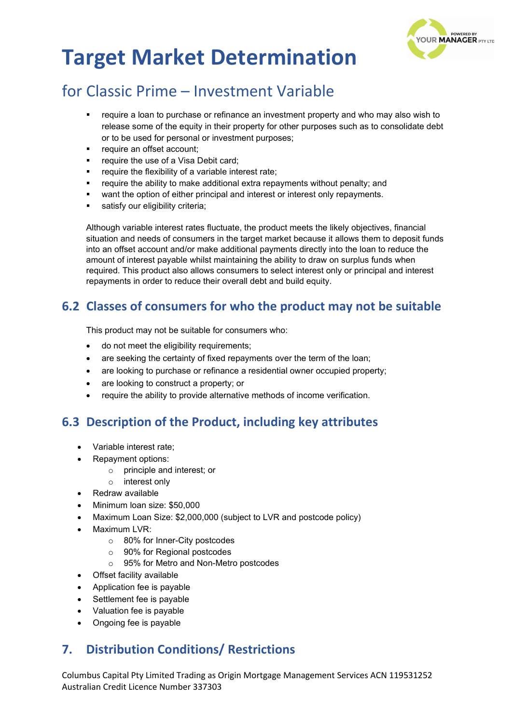

# for Classic Prime – Investment Variable

- require a loan to purchase or refinance an investment property and who may also wish to release some of the equity in their property for other purposes such as to consolidate debt or to be used for personal or investment purposes;
- require an offset account;
- require the use of a Visa Debit card;
- require the flexibility of a variable interest rate;
- require the ability to make additional extra repayments without penalty; and
- want the option of either principal and interest or interest only repayments.
- satisfy our eligibility criteria:

Although variable interest rates fluctuate, the product meets the likely objectives, financial situation and needs of consumers in the target market because it allows them to deposit funds into an offset account and/or make additional payments directly into the loan to reduce the amount of interest payable whilst maintaining the ability to draw on surplus funds when required. This product also allows consumers to select interest only or principal and interest repayments in order to reduce their overall debt and build equity.

### **6.2 Classes of consumers for who the product may not be suitable**

This product may not be suitable for consumers who:

- do not meet the eligibility requirements;
- are seeking the certainty of fixed repayments over the term of the loan;
- are looking to purchase or refinance a residential owner occupied property;
- are looking to construct a property; or
- require the ability to provide alternative methods of income verification.

### **6.3 Description of the Product, including key attributes**

- Variable interest rate;
- Repayment options:
	- o principle and interest; or
	- o interest only
- Redraw available
- Minimum loan size: \$50,000
- Maximum Loan Size: \$2,000,000 (subject to LVR and postcode policy)
- Maximum LVR:
	- o 80% for Inner-City postcodes
	- o 90% for Regional postcodes
	- o 95% for Metro and Non-Metro postcodes
- Offset facility available
- Application fee is payable
- Settlement fee is payable
- Valuation fee is payable
- Ongoing fee is payable

### **7. Distribution Conditions/ Restrictions**

Columbus Capital Pty Limited Trading as Origin Mortgage Management Services ACN 119531252 Australian Credit Licence Number 337303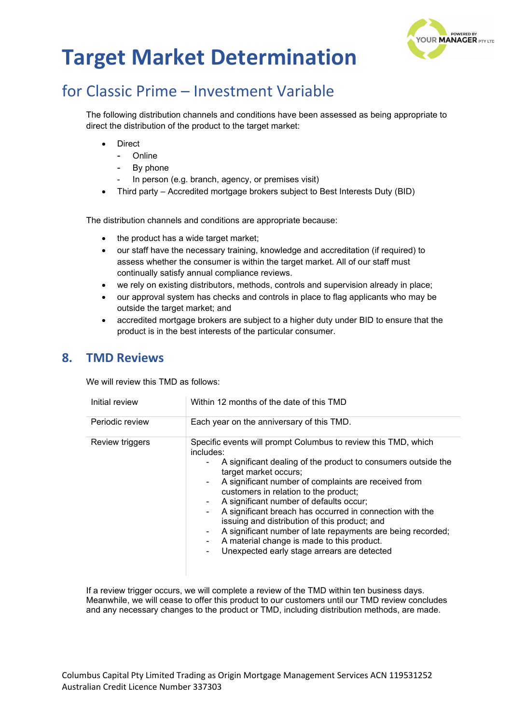

## for Classic Prime – Investment Variable

The following distribution channels and conditions have been assessed as being appropriate to direct the distribution of the product to the target market:

- **Direct** 
	- Online
	- By phone
	- In person (e.g. branch, agency, or premises visit)
- Third party Accredited mortgage brokers subject to Best Interests Duty (BID)

The distribution channels and conditions are appropriate because:

- the product has a wide target market;
- our staff have the necessary training, knowledge and accreditation (if required) to assess whether the consumer is within the target market. All of our staff must continually satisfy annual compliance reviews.
- we rely on existing distributors, methods, controls and supervision already in place;
- our approval system has checks and controls in place to flag applicants who may be outside the target market; and
- accredited mortgage brokers are subject to a higher duty under BID to ensure that the product is in the best interests of the particular consumer.

#### **8. TMD Reviews**

We will review this TMD as follows:

| Initial review  | Within 12 months of the date of this TMD                                                                                                                                                                                                                                                                                                                                                                                                                                                                                                                                                                   |  |
|-----------------|------------------------------------------------------------------------------------------------------------------------------------------------------------------------------------------------------------------------------------------------------------------------------------------------------------------------------------------------------------------------------------------------------------------------------------------------------------------------------------------------------------------------------------------------------------------------------------------------------------|--|
| Periodic review | Each year on the anniversary of this TMD.                                                                                                                                                                                                                                                                                                                                                                                                                                                                                                                                                                  |  |
| Review triggers | Specific events will prompt Columbus to review this TMD, which<br>includes:<br>A significant dealing of the product to consumers outside the<br>target market occurs;<br>A significant number of complaints are received from<br>customers in relation to the product;<br>A significant number of defaults occur;<br>۰<br>A significant breach has occurred in connection with the<br>۰<br>issuing and distribution of this product; and<br>A significant number of late repayments are being recorded;<br>۰.<br>A material change is made to this product.<br>Unexpected early stage arrears are detected |  |

If a review trigger occurs, we will complete a review of the TMD within ten business days. Meanwhile, we will cease to offer this product to our customers until our TMD review concludes and any necessary changes to the product or TMD, including distribution methods, are made.